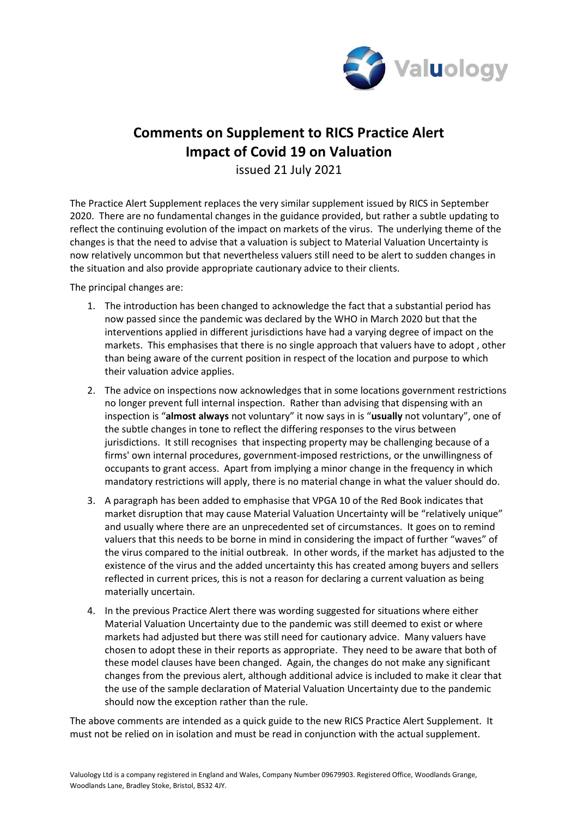

## **Comments on Supplement to RICS Practice Alert Impact of Covid 19 on Valuation**

issued 21 July 2021

The Practice Alert Supplement replaces the very similar supplement issued by RICS in September 2020. There are no fundamental changes in the guidance provided, but rather a subtle updating to reflect the continuing evolution of the impact on markets of the virus. The underlying theme of the changes is that the need to advise that a valuation is subject to Material Valuation Uncertainty is now relatively uncommon but that nevertheless valuers still need to be alert to sudden changes in the situation and also provide appropriate cautionary advice to their clients.

The principal changes are:

- 1. The introduction has been changed to acknowledge the fact that a substantial period has now passed since the pandemic was declared by the WHO in March 2020 but that the interventions applied in different jurisdictions have had a varying degree of impact on the markets. This emphasises that there is no single approach that valuers have to adopt , other than being aware of the current position in respect of the location and purpose to which their valuation advice applies.
- 2. The advice on inspections now acknowledges that in some locations government restrictions no longer prevent full internal inspection. Rather than advising that dispensing with an inspection is "**almost always** not voluntary" it now says in is "**usually** not voluntary", one of the subtle changes in tone to reflect the differing responses to the virus between jurisdictions. It still recognises that inspecting property may be challenging because of a firms' own internal procedures, government-imposed restrictions, or the unwillingness of occupants to grant access. Apart from implying a minor change in the frequency in which mandatory restrictions will apply, there is no material change in what the valuer should do.
- 3. A paragraph has been added to emphasise that VPGA 10 of the Red Book indicates that market disruption that may cause Material Valuation Uncertainty will be "relatively unique" and usually where there are an unprecedented set of circumstances. It goes on to remind valuers that this needs to be borne in mind in considering the impact of further "waves" of the virus compared to the initial outbreak. In other words, if the market has adjusted to the existence of the virus and the added uncertainty this has created among buyers and sellers reflected in current prices, this is not a reason for declaring a current valuation as being materially uncertain.
- 4. In the previous Practice Alert there was wording suggested for situations where either Material Valuation Uncertainty due to the pandemic was still deemed to exist or where markets had adjusted but there was still need for cautionary advice. Many valuers have chosen to adopt these in their reports as appropriate. They need to be aware that both of these model clauses have been changed. Again, the changes do not make any significant changes from the previous alert, although additional advice is included to make it clear that the use of the sample declaration of Material Valuation Uncertainty due to the pandemic should now the exception rather than the rule.

The above comments are intended as a quick guide to the new RICS Practice Alert Supplement. It must not be relied on in isolation and must be read in conjunction with the actual supplement.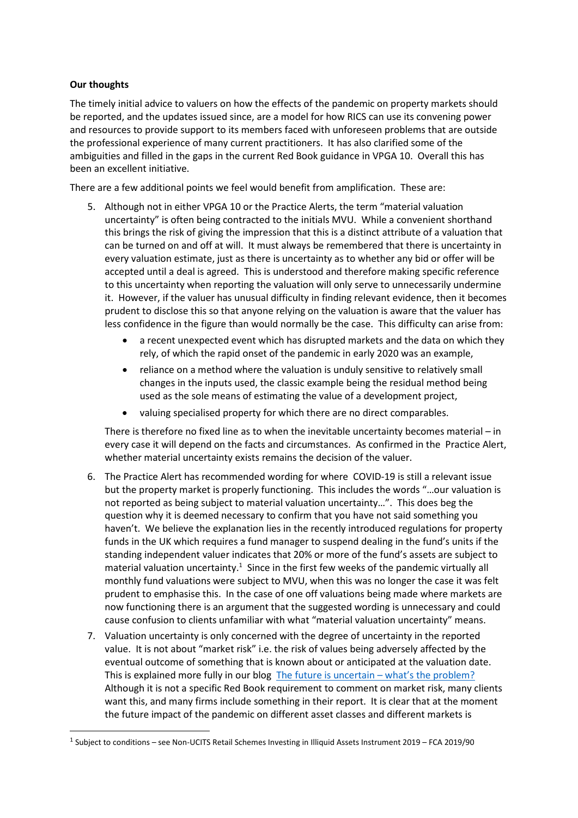## **Our thoughts**

The timely initial advice to valuers on how the effects of the pandemic on property markets should be reported, and the updates issued since, are a model for how RICS can use its convening power and resources to provide support to its members faced with unforeseen problems that are outside the professional experience of many current practitioners. It has also clarified some of the ambiguities and filled in the gaps in the current Red Book guidance in VPGA 10. Overall this has been an excellent initiative.

There are a few additional points we feel would benefit from amplification. These are:

- 5. Although not in either VPGA 10 or the Practice Alerts, the term "material valuation uncertainty" is often being contracted to the initials MVU. While a convenient shorthand this brings the risk of giving the impression that this is a distinct attribute of a valuation that can be turned on and off at will. It must always be remembered that there is uncertainty in every valuation estimate, just as there is uncertainty as to whether any bid or offer will be accepted until a deal is agreed. This is understood and therefore making specific reference to this uncertainty when reporting the valuation will only serve to unnecessarily undermine it. However, if the valuer has unusual difficulty in finding relevant evidence, then it becomes prudent to disclose this so that anyone relying on the valuation is aware that the valuer has less confidence in the figure than would normally be the case. This difficulty can arise from:
	- a recent unexpected event which has disrupted markets and the data on which they rely, of which the rapid onset of the pandemic in early 2020 was an example,
	- reliance on a method where the valuation is unduly sensitive to relatively small changes in the inputs used, the classic example being the residual method being used as the sole means of estimating the value of a development project,
	- valuing specialised property for which there are no direct comparables.

There is therefore no fixed line as to when the inevitable uncertainty becomes material – in every case it will depend on the facts and circumstances. As confirmed in the Practice Alert, whether material uncertainty exists remains the decision of the valuer.

- 6. The Practice Alert has recommended wording for where COVID-19 is still a relevant issue but the property market is properly functioning. This includes the words "…our valuation is not reported as being subject to material valuation uncertainty…". This does beg the question why it is deemed necessary to confirm that you have not said something you haven't. We believe the explanation lies in the recently introduced regulations for property funds in the UK which requires a fund manager to suspend dealing in the fund's units if the standing independent valuer indicates that 20% or more of the fund's assets are subject to material valuation unc[ertainty.](#page-1-0) $<sup>1</sup>$  Since in the first few weeks of the pandemic virtually all</sup> monthly fund valuations were subject to MVU, when this was no longer the case it was felt prudent to emphasise this. In the case of one off valuations being made where markets are now functioning there is an argument that the suggested wording is unnecessary and could cause confusion to clients unfamiliar with what "material valuation uncertainty" means.
- 7. Valuation uncertainty is only concerned with the degree of uncertainty in the reported value. It is not about "market risk" i.e. the risk of values being adversely affected by the eventual outcome of something that is known about or anticipated at the valuation date. This is explained more fully in [our blog The future is uncertain – what's the problem?](https://www.valuology.org/single-post/2018/10/08/the-future-is-uncertain-what-s-the-problem) Although it is not a specific Red Book requirement to comment on market risk, many clients want this, and many firms include something in their report. It is clear that at the moment the future impact of the pandemic on different asset classes and different markets is

<span id="page-1-0"></span><sup>&</sup>lt;sup>1</sup> Subject to conditions – see Non-UCITS Retail Schemes Investing in Illiquid Assets Instrument 2019 – FCA 2019/90